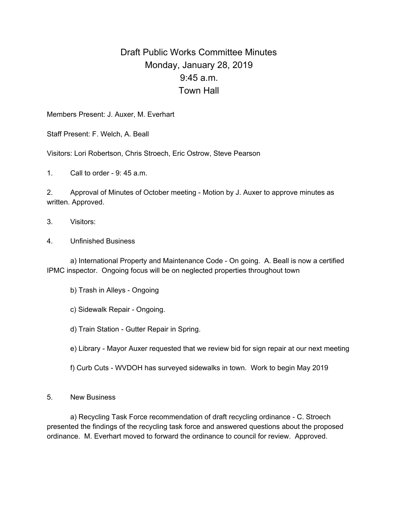## Draft Public Works Committee Minutes Monday, January 28, 2019 9:45 a.m. Town Hall

Members Present: J. Auxer, M. Everhart

Staff Present: F. Welch, A. Beall

Visitors: Lori Robertson, Chris Stroech, Eric Ostrow, Steve Pearson

1. Call to order - 9: 45 a.m.

2. Approval of Minutes of October meeting - Motion by J. Auxer to approve minutes as written. Approved.

- 3. Visitors:
- 4. Unfinished Business

a) International Property and Maintenance Code - On going. A. Beall is now a certified IPMC inspector. Ongoing focus will be on neglected properties throughout town

b) Trash in Alleys - Ongoing

c) Sidewalk Repair - Ongoing.

d) Train Station - Gutter Repair in Spring.

e) Library - Mayor Auxer requested that we review bid for sign repair at our next meeting

f) Curb Cuts - WVDOH has surveyed sidewalks in town. Work to begin May 2019

5. New Business

a) Recycling Task Force recommendation of draft recycling ordinance - C. Stroech presented the findings of the recycling task force and answered questions about the proposed ordinance. M. Everhart moved to forward the ordinance to council for review. Approved.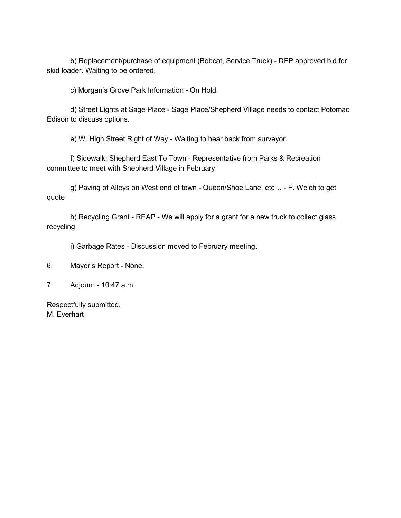b) Replacement/purchase of equipment (Bobcat, Service Truck) - DEP approved bid for skid loader. Waiting to be ordered.

c) Morgan's Grove Park Information - On Hold.

d) Street Lights at Sage Place - Sage Place/Shepherd Village needs to contact Potomac Edison to discuss options.

e) W. High Street Right of Way - Waiting to hear back from surveyor.

f) Sidewalk: Shepherd East To Town - Representative from Parks & Recreation committee to meet with Shepherd Village in February.

g) Paving of Alleys on West end of town - Queen/Shoe Lane, etc… - F. Welch to get quote

h) Recycling Grant - REAP - We will apply for a grant for a new truck to collect glass recycling.

i) Garbage Rates - Discussion moved to February meeting.

7. Adjourn - 10:47 a.m.

Respectfully submitted, M. Everhart

<sup>6.</sup> Mayor's Report - None.